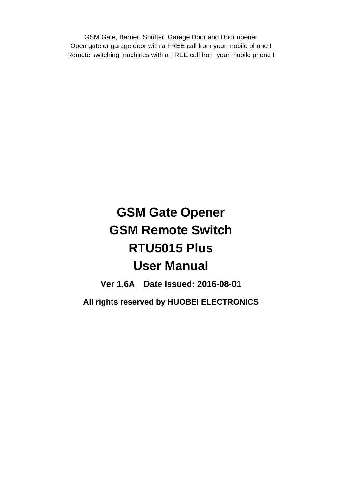GSM Gate, Barrier, Shutter, Garage Door and Door opener Open gate or garage door with a FREE call from your mobile phone ! Remote switching machines with a FREE call from your mobile phone !

# **GSM Gate Opener GSM Remote Switch RTU5015 Plus User Manual**

**Ver 1.6A Date Issued: 2016-08-01 All rights reserved by HUOBEI ELECTRONICS**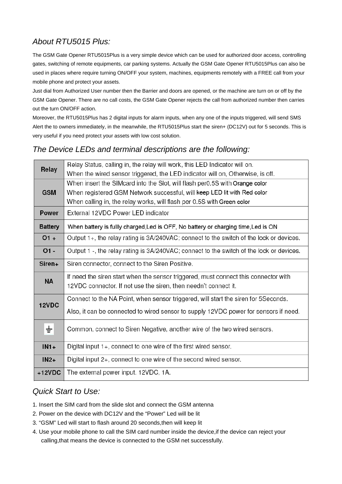# *About RTU5015 Plus:*

The GSM Gate Opener RTU5015Plus is a very simple device which can be used for authorized door access, controlling gates, switching of remote equipments, car parking systems. Actually the GSM Gate Opener RTU5015Plus can also be used in places where require turning ON/OFF your system, machines, equipments remotely with a FREE call from your mobile phone and protect your assets.

Just dial from Authorized User number then the Barrier and doors are opened, or the machine are turn on or off by the GSM Gate Opener. There are no call costs, the GSM Gate Opener rejects the call from authorized number then carries out the turn ON/OFF action.

Moreover, the RTU5015Plus has 2 digital inputs for alarm inputs, when any one of the inputs triggered, will send SMS Alert the to owners immediately, in the meanwhile, the RTU5015Plus start the siren+ (DC12V) out for 5 seconds. This is very useful if you need protect your assets with low cost solution.

# *The Device LEDs and terminal descriptions are the following:*

| Relay          | Relay Status, calling in, the relay will work, this LED Indicator will on.               |  |
|----------------|------------------------------------------------------------------------------------------|--|
|                | When the wired sensor triggered, the LED indicator will on, Otherwise, is off.           |  |
| <b>GSM</b>     | When insert the SIMcard into the Slot, will flash per0.5S with Orange color              |  |
|                | When registered GSM Network successful, will keep LED lit with Red color                 |  |
|                | When calling in, the relay works, will flash per 0.5S with Green color                   |  |
| <b>Power</b>   | External 12VDC Power LED indicator                                                       |  |
| <b>Battery</b> | When battery is fullly charged, Led is OFF, No battery or charging time, Led is ON       |  |
| $O1 +$         | Output 1+, the relay rating is 3A/240VAC; connect to the switch of the lock or devices.  |  |
| $O1 -$         | Output 1 -, the relay rating is 3A/240VAC; connect to the switch of the lock or devices. |  |
| Siren+         | Siren connector, connect to the Siren Positive.                                          |  |
| <b>NA</b>      | If need the siren start when the sensor triggered, must connect this connector with      |  |
|                | 12VDC connector. If not use the siren, then needn't connect it.                          |  |
| 12VDC          | Connect to the NA Point, when sensor triggered, will start the siren for 5Seconds.       |  |
|                | Also, it can be connected to wired sensor to supply 12VDC power for sensors if need.     |  |
| ÷              | Common, connect to Siren Negative, another wire of the two wired sensors.                |  |
|                |                                                                                          |  |
| $IN1+$         | Digital input 1+, connect to one wire of the first wired sensor.                         |  |
| $IN2+$         | Digital input 2+, connect to one wire of the second wired sensor.                        |  |
| $+12VDC$       | The external power input. 12VDC, 1A.                                                     |  |
|                |                                                                                          |  |

# *Quick Start to Use:*

- 1. Insert the SIM card from the slide slot and connect the GSM antenna
- 2. Power on the device with DC12V and the "Power" Led will be lit
- 3. "GSM" Led will start to flash around 20 seconds,then will keep lit
- 4. Use your mobile phone to call the SIM card number inside the device,if the device can reject your calling,that means the device is connected to the GSM net successfully.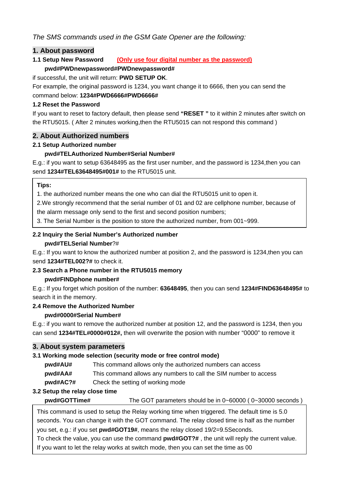### *The SMS commands used in the GSM Gate Opener are the following:*

#### **1. About password**

#### **1.1 Setup New Password (Only use four digital number as the password) pwd#PWDnewpassword#PWDnewpassword#**

#### if successful, the unit will return: **PWD SETUP OK**.

For example, the original password is 1234, you want change it to 6666, then you can send the command below: **1234#PWD6666#PWD6666#** 

#### **1.2 Reset the Password**

If you want to reset to factory default, then please send **"RESET "** to it within 2 minutes after switch on the RTU5015. ( After 2 minutes working,then the RTU5015 can not respond this command )

#### **2. About Authorized numbers**

#### **2.1 Setup Authorized number**

#### **pwd#TELAuthorized Number#Serial Number#**

E.g.: if you want to setup 63648495 as the first user number, and the password is 1234,then you can send **1234#TEL63648495#001#** to the RTU5015 unit.

#### **Tips:**

1. the authorized number means the one who can dial the RTU5015 unit to open it.

2.We strongly recommend that the serial number of 01 and 02 are cellphone number, because of

the alarm message only send to the first and second position numbers;

3. The Serial Number is the position to store the authorized number, from 001~999.

# **2.2 Inquiry the Serial Number's Authorized number**

#### **pwd#TELSerial Number**?#

E.g.: If you want to know the authorized number at position 2, and the password is 1234,then you can send **1234#TEL002?#** to check it.

#### **2.3 Search a Phone number in the RTU5015 memory**

#### **pwd#FINDphone number#**

E.g.: If you forget which position of the number: **63648495**, then you can send **1234#FIND63648495#** to search it in the memory.

#### **2.4 Remove the Authorized Number**

#### **pwd#0000#Serial Number#**

E.g.: if you want to remove the authorized number at position 12, and the password is 1234, then you can send **1234#TEL#0000#012#,** then will overwrite the posion with number "0000" to remove it

#### **3. About system parameters**

#### **3.1 Working mode selection (security mode or free control mode)**

- **pwd#AU#** This command allows only the authorized numbers can access
- **pwd#AA#** This command allows any numbers to call the SIM number to access
- **pwd#AC?#** Check the setting of working mode

#### **3.2 Setup the relay close time**

**pwd#GOTTime#** The GOT parameters should be in 0~60000 ( 0~30000 seconds )

This command is used to setup the Relay working time when triggered. The default time is 5.0 seconds. You can change it with the GOT command. The relay closed time is half as the number you set, e.g.: if you set **pwd#GOT19#**, means the relay closed 19/2=9.5Seconds.

To check the value, you can use the command **pwd#GOT?#** , the unit will reply the current value. If you want to let the relay works at switch mode, then you can set the time as 00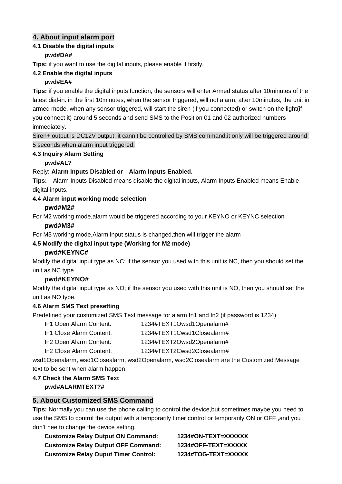# **4. About input alarm port**

#### **4.1 Disable the digital inputs pwd#DA#**

**Tips:** if you want to use the digital inputs, please enable it firstly.

#### **4.2 Enable the digital inputs**

#### **pwd#EA#**

**Tips:** if you enable the digital inputs function, the sensors will enter Armed status after 10minutes of the latest dial-in. in the first 10minutes, when the sensor triggered, will not alarm, after 10minutes, the unit in armed mode, when any sensor triggered, will start the siren (if you connected) or switch on the light(if you connect it) around 5 seconds and send SMS to the Position 01 and 02 authorized numbers immediately.

Siren+ output is DC12V output, it cann't be controlled by SMS command.it only will be triggered around 5 seconds when alarm input triggered.

#### **4.3 Inquiry Alarm Setting**

#### **pwd#AL?**

#### Reply: **Alarm Inputs Disabled or Alarm Inputs Enabled.**

**Tips:** Alarm Inputs Disabled means disable the digital inputs, Alarm Inputs Enabled means Enable digital inputs.

#### **4.4 Alarm input working mode selection**

#### **pwd#M2#**

For M2 working mode,alarm would be triggered according to your KEYNO or KEYNC selection

#### **pwd#M3#**

For M3 working mode,Alarm input status is changed,then will trigger the alarm

#### **4.5 Modify the digital input type (Working for M2 mode)**

#### **pwd#KEYNC#**

Modify the digital input type as NC; if the sensor you used with this unit is NC, then you should set the unit as NC type.

#### **pwd#KEYNO#**

Modify the digital input type as NO; if the sensor you used with this unit is NO, then you should set the unit as NO type.

#### **4.6 Alarm SMS Text presetting**

Predefined your customized SMS Text message for alarm In1 and In2 (if password is 1234)

| In1 Open Alarm Content:  | 1234#TEXT1Owsd1Openalarm#  |
|--------------------------|----------------------------|
| In1 Close Alarm Content: | 1234#TEXT1Cwsd1Closealarm# |
| In2 Open Alarm Content:  | 1234#TEXT2Owsd2Openalarm#  |

In2 Close Alarm Content: 1234#TEXT2Cwsd2Closealarm#

wsd1Openalarm, wsd1Closealarm, wsd2Openalarm, wsd2Closealarm are the Customized Message text to be sent when alarm happen

# **4.7 Check the Alarm SMS Text**

# **pwd#ALARMTEXT?#**

#### **5. About Customized SMS Command**

**Tips:** Normally you can use the phone calling to control the device,but sometimes maybe you need to use the SMS to control the output with a temporarily timer control or temporarily ON or OFF ,and you don't nee to change the device setting.

| <b>Customize Relay Output ON Command:</b>   | 1234#ON-TEXT=XXXXXX |
|---------------------------------------------|---------------------|
| <b>Customize Relay Output OFF Command:</b>  | 1234#OFF-TEXT=XXXXX |
| <b>Customize Relay Ouput Timer Control:</b> | 1234#TOG-TEXT=XXXXX |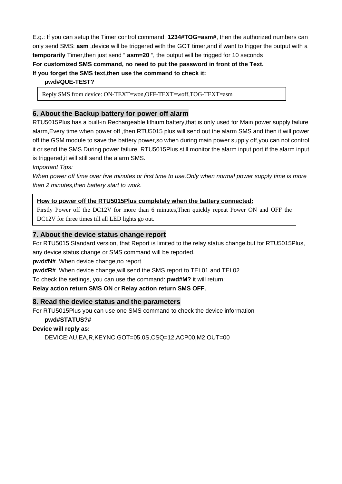E.g.: If you can setup the Timer control command: **1234#TOG=asm#**, then the authorized numbers can only send SMS: **asm** ,device will be triggered with the GOT timer,and if want to trigger the output with a **temporarily** Timer,then just send " **asm=20** ", the output will be trigged for 10 seconds **For customized SMS command, no need to put the password in front of the Text.** 

**If you forget the SMS text,then use the command to check it:** 

**pwd#QUE-TEST?** 

Reply SMS from device: ON-TEXT=won,OFF-TEXT=woff,TOG-TEXT=asm

#### **6. About the Backup battery for power off alarm**

RTU5015Plus has a built-in Rechargeable lithium battery,that is only used for Main power supply failure alarm,Every time when power off ,then RTU5015 plus will send out the alarm SMS and then it will power off the GSM module to save the battery power,so when during main power supply off,you can not control it or send the SMS.During power failure, RTU5015Plus still monitor the alarm input port,if the alarm input is triggered,it will still send the alarm SMS.

*Important Tips:* 

When power off time over five minutes or first time to use. Only when normal power supply time is more *than 2 minutes,then battery start to work.* 

#### **How to power off the RTU5015Plus completely when the battery connected:**

Firstly Power off the DC12V for more than 6 minutes,Then quickly repeat Power ON and OFF the DC12V for three times till all LED lights go out.

#### **7. About the device status change report**

For RTU5015 Standard version, that Report is limited to the relay status change.but for RTU5015Plus, any device status change or SMS command will be reported.

**pwd#N#**. When device change,no report

**pwd#R#**. When device change,will send the SMS report to TEL01 and TEL02

To check the settings, you can use the command: **pwd#M?** it will return:

#### **Relay action return SMS ON** or **Relay action return SMS OFF**.

#### **8. Read the device status and the parameters**

For RTU5015Plus you can use one SMS command to check the device information

#### **pwd#STATUS?#**

#### **Device will reply as:**

DEVICE:AU,EA,R,KEYNC,GOT=05.0S,CSQ=12,ACP00,M2,OUT=00